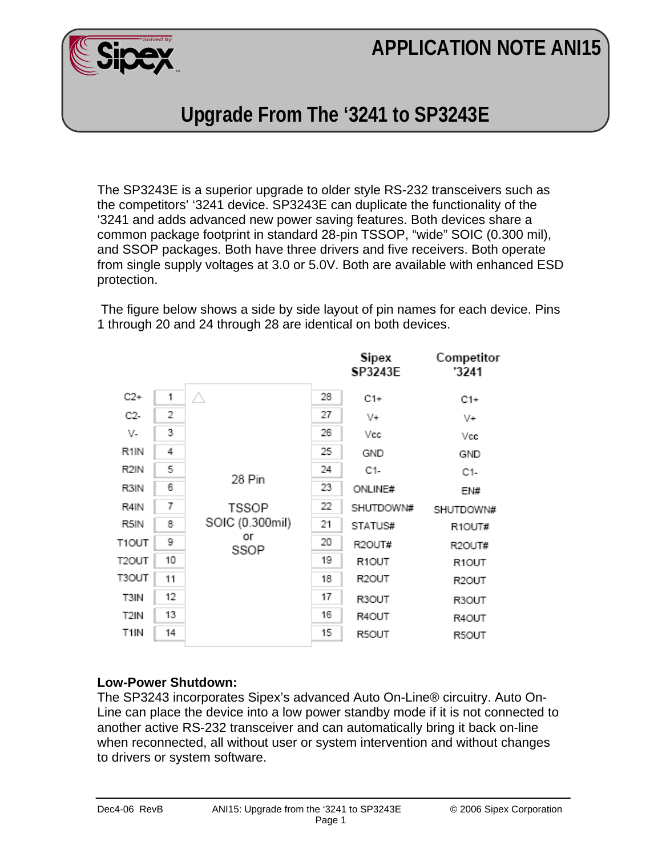# **APPLICATION NOTE ANI15**



## **Upgrade From The '3241 to SP3243E**

The SP3243E is a superior upgrade to older style RS-232 transceivers such as the competitors' '3241 device. SP3243E can duplicate the functionality of the '3241 and adds advanced new power saving features. Both devices share a common package footprint in standard 28-pin TSSOP, "wide" SOIC (0.300 mil), and SSOP packages. Both have three drivers and five receivers. Both operate from single supply voltages at 3.0 or 5.0V. Both are available with enhanced ESD protection.

 The figure below shows a side by side layout of pin names for each device. Pins 1 through 20 and 24 through 28 are identical on both devices.

|                    |    |                                                 |    | Sipex<br>SP3243E | Competitor<br>'3241 |  |
|--------------------|----|-------------------------------------------------|----|------------------|---------------------|--|
| $C2+$              | 1  | л                                               | 28 | $C1+$            | $C1+$               |  |
| C2-                | 2  |                                                 | 27 | $V +$            | $V +$               |  |
| V-                 | 3  |                                                 | 26 | Vcc              | Vcc                 |  |
| R <sub>1</sub> IN  | 4  |                                                 | 25 | GND              | GND                 |  |
| R <sub>2</sub> IN  | 5  |                                                 | 24 | C1-              | C1-                 |  |
| R3IN               | 6  | 28 Pin<br><b>TSSOP</b><br>SOIC (0.300mil)<br>or | 23 | ONLINE#          | EN#                 |  |
| R4IN               | 7  |                                                 | 22 | SHUTDOWN#        | SHUTDOWN#           |  |
| R5IN               | 8  |                                                 | 21 | STATUS#          | R1OUT#<br>R2OUT#    |  |
| T1OUT              | 9  | SSOP                                            | 20 | R2OUT#           |                     |  |
| T <sub>2</sub> OUT | 10 |                                                 | 19 | R1OUT            | R1OUT               |  |
| T3OUT              | 11 |                                                 | 18 | R2OUT            | R <sub>2</sub> OUT  |  |
| T3IN               | 12 |                                                 | 17 | R3OUT            | R3OUT               |  |
| T2IN               | 13 |                                                 | 16 | R4OUT            | R4OUT               |  |
| T1IN               | 14 |                                                 | 15 | R5OUT            | R5OUT               |  |
|                    |    |                                                 |    |                  |                     |  |

### **Low-Power Shutdown:**

The SP3243 incorporates Sipex's advanced Auto On-Line® circuitry. Auto On-Line can place the device into a low power standby mode if it is not connected to another active RS-232 transceiver and can automatically bring it back on-line when reconnected, all without user or system intervention and without changes to drivers or system software.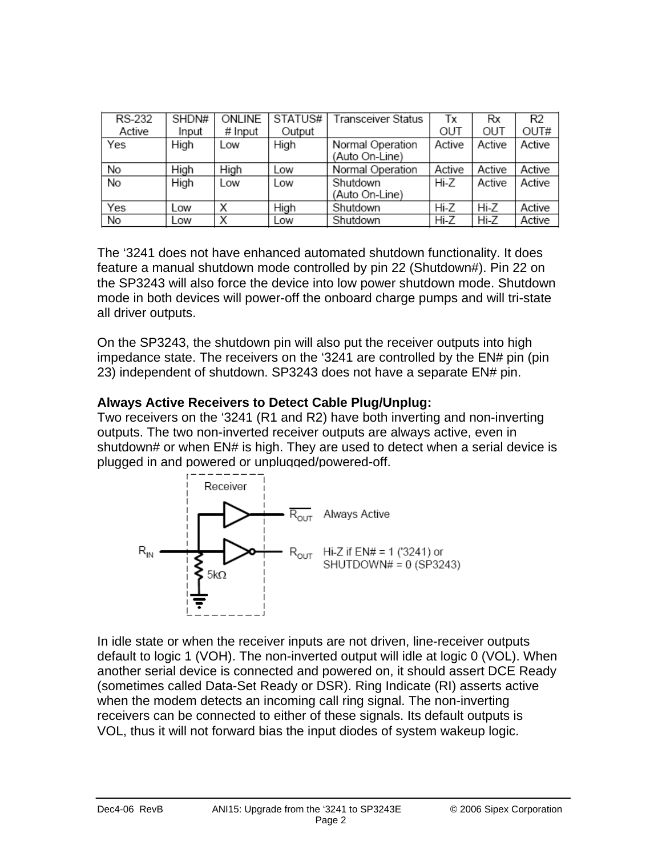| RS-232 | <b>ONLINE</b><br>SHDN# |         | STATUS# | Transceiver Status                 | Тx     | Rx     | R <sub>2</sub> |
|--------|------------------------|---------|---------|------------------------------------|--------|--------|----------------|
| Active | Input                  | # Input | Output  |                                    | OUT    | OUT    | OUT#           |
| Yes    | High                   | Low     | High    | Normal Operation<br>(Auto On-Line) | Active | Active | Active         |
| No     | High                   | High    | Low     | Normal Operation                   | Active | Active | Active         |
| No     | High                   | Low     | Low     | Shutdown<br>(Auto On-Line)         | Hi-Z   | Active | Active         |
| Yes    | Low                    | Χ       | High    | Shutdown                           | Hi-Z   | Hi-Z   | Active         |
| No     | Low                    | Х       | Low     | Shutdown                           | Hi-Z   | Hi-Z   | Active         |

The '3241 does not have enhanced automated shutdown functionality. It does feature a manual shutdown mode controlled by pin 22 (Shutdown#). Pin 22 on the SP3243 will also force the device into low power shutdown mode. Shutdown mode in both devices will power-off the onboard charge pumps and will tri-state all driver outputs.

On the SP3243, the shutdown pin will also put the receiver outputs into high impedance state. The receivers on the '3241 are controlled by the EN# pin (pin 23) independent of shutdown. SP3243 does not have a separate EN# pin.

### **Always Active Receivers to Detect Cable Plug/Unplug:**

Two receivers on the '3241 (R1 and R2) have both inverting and non-inverting outputs. The two non-inverted receiver outputs are always active, even in shutdown# or when EN# is high. They are used to detect when a serial device is plugged in and powered or unplugged/powered-off.



In idle state or when the receiver inputs are not driven, line-receiver outputs default to logic 1 (VOH). The non-inverted output will idle at logic 0 (VOL). When another serial device is connected and powered on, it should assert DCE Ready (sometimes called Data-Set Ready or DSR). Ring Indicate (RI) asserts active when the modem detects an incoming call ring signal. The non-inverting receivers can be connected to either of these signals. Its default outputs is VOL, thus it will not forward bias the input diodes of system wakeup logic.